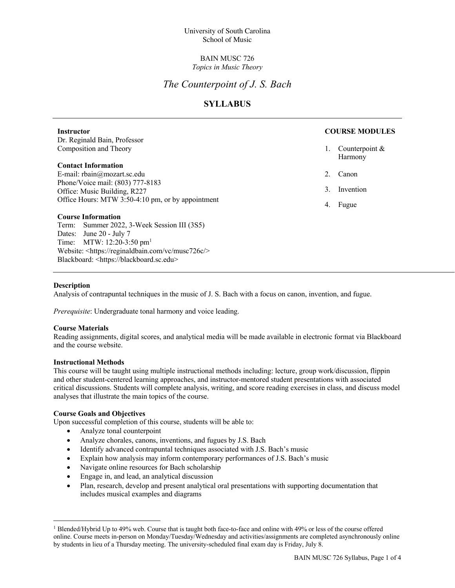### BAIN MUSC 726 *Topics in Music Theory*

# *The Counterpoint of J. S. Bach*

## **SYLLABUS**

#### **Instructor** Dr. Reginald Bain, Professor Composition and Theory **Contact Information** E-mail: rbain@mozart.sc.edu Phone/Voice mail: (803) 777-8183 Office: Music Building, R227 Office Hours: MTW 3:50-4:10 pm, or by appointment **Course Information** Term: Summer 2022, 3-Week Session III (3S5) Dates: June 20 - July 7 Time: MTW: 12:20-3:50 pm<sup>1</sup> **COURSE MODULES** 1. Counterpoint & Harmony 2. Canon 3. Invention 4. Fugue

#### **Description**

Analysis of contrapuntal techniques in the music of J. S. Bach with a focus on canon, invention, and fugue.

*Prerequisite*: Undergraduate tonal harmony and voice leading.

Website: <https://reginaldbain.com/vc/musc726c/>

Blackboard: <https://blackboard.sc.edu>

#### **Course Materials**

Reading assignments, digital scores, and analytical media will be made available in electronic format via Blackboard and the course website.

#### **Instructional Methods**

This course will be taught using multiple instructional methods including: lecture, group work/discussion, flippin and other student-centered learning approaches, and instructor-mentored student presentations with associated critical discussions. Students will complete analysis, writing, and score reading exercises in class, and discuss model analyses that illustrate the main topics of the course.

#### **Course Goals and Objectives**

Upon successful completion of this course, students will be able to:

- Analyze tonal counterpoint
- Analyze chorales, canons, inventions, and fugues by J.S. Bach
- Identify advanced contrapuntal techniques associated with J.S. Bach's music
- Explain how analysis may inform contemporary performances of J.S. Bach's music
- Navigate online resources for Bach scholarship
- Engage in, and lead, an analytical discussion
- Plan, research, develop and present analytical oral presentations with supporting documentation that includes musical examples and diagrams

<sup>1</sup> Blended/Hybrid Up to 49% web. Course that is taught both face-to-face and online with 49% or less of the course offered online. Course meets in-person on Monday/Tuesday/Wednesday and activities/assignments are completed asynchronously online by students in lieu of a Thursday meeting. The university-scheduled final exam day is Friday, July 8.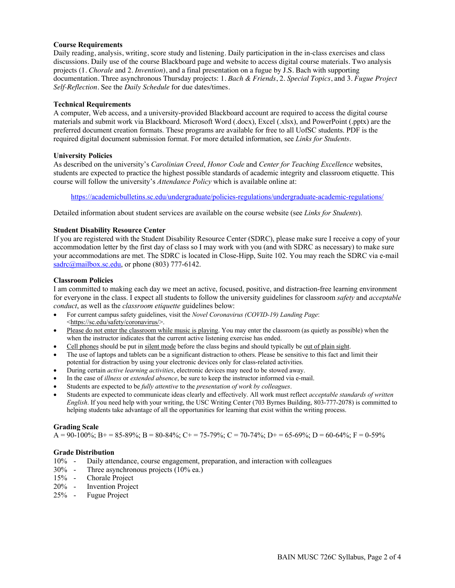#### **Course Requirements**

Daily reading, analysis, writing, score study and listening. Daily participation in the in-class exercises and class discussions. Daily use of the course Blackboard page and website to access digital course materials. Two analysis projects (1. *Chorale* and 2. *Invention*), and a final presentation on a fugue by J.S. Bach with supporting documentation. Three asynchronous Thursday projects: 1. *Bach & Friends*, 2. *Special Topics*, and 3. *Fugue Project Self-Reflection*. See the *Daily Schedule* for due dates/times.

#### **Technical Requirements**

A computer, Web access, and a university-provided Blackboard account are required to access the digital course materials and submit work via Blackboard. Microsoft Word (.docx), Excel (.xlsx), and PowerPoint (.pptx) are the preferred document creation formats. These programs are available for free to all UofSC students. PDF is the required digital document submission format. For more detailed information, see *Links for Students*.

#### **University Policies**

As described on the university's *Carolinian Creed*, *Honor Code* and *Center for Teaching Excellence* websites, students are expected to practice the highest possible standards of academic integrity and classroom etiquette. This course will follow the university's *Attendance Policy* which is available online at:

https://academicbulletins.sc.edu/undergraduate/policies-regulations/undergraduate-academic-regulations/

Detailed information about student services are available on the course website (see *Links for Students*).

### **Student Disability Resource Center**

If you are registered with the Student Disability Resource Center (SDRC), please make sure I receive a copy of your accommodation letter by the first day of class so I may work with you (and with SDRC as necessary) to make sure your accommodations are met. The SDRC is located in Close-Hipp, Suite 102. You may reach the SDRC via e-mail sadrc@mailbox.sc.edu, or phone (803) 777-6142.

#### **Classroom Policies**

I am committed to making each day we meet an active, focused, positive, and distraction-free learning environment for everyone in the class. I expect all students to follow the university guidelines for classroom *safety* and *acceptable conduct*, as well as the *classroom etiquette* guidelines below:

- For current campus safety guidelines, visit the *Novel Coronavirus (COVID-19) Landing Page*: <https://sc.edu/safety/coronavirus/>.
- Please do not enter the classroom while music is playing. You may enter the classroom (as quietly as possible) when the when the instructor indicates that the current active listening exercise has ended.
- Cell phones should be put in silent mode before the class begins and should typically be <u>out of plain sight</u>.
- The use of laptops and tablets can be a significant distraction to others. Please be sensitive to this fact and limit their potential for distraction by using your electronic devices only for class-related activities.
- During certain *active learning activities*, electronic devices may need to be stowed away.
- In the case of *illness* or *extended absence*, be sure to keep the instructor informed via e-mail.
- Students are expected to be *fully attentive* to the *presentation of work by colleagues*.
- Students are expected to communicate ideas clearly and effectively. All work must reflect *acceptable standards of written English*. If you need help with your writing, the USC Writing Center (703 Byrnes Building, 803-777-2078) is committed to helping students take advantage of all the opportunities for learning that exist within the writing process.

### **Grading Scale**

 $A = 90-100\%$ ; B + = 85-89%; B = 80-84%; C + = 75-79%; C = 70-74%; D + = 65-69%; D = 60-64%; F = 0-59%

#### **Grade Distribution**

- 10% Daily attendance, course engagement, preparation, and interaction with colleagues
- 30% Three asynchronous projects (10% ea.)
- 15% Chorale Project
- 20% Invention Project
- 25% Fugue Project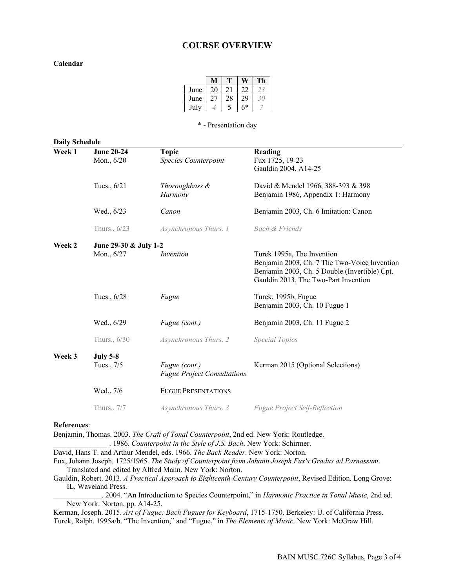### **COURSE OVERVIEW**

#### **Calendar**

| June | 20 | 21 | 22   |  |
|------|----|----|------|--|
| June |    | 28 | 29   |  |
| July |    |    | $6*$ |  |

\* - Presentation day

| <b>Daily Schedule</b> |                                     |                                                     |                                                                                                                                                                     |  |  |
|-----------------------|-------------------------------------|-----------------------------------------------------|---------------------------------------------------------------------------------------------------------------------------------------------------------------------|--|--|
| Week 1                | <b>June 20-24</b><br>Mon., 6/20     | <b>Topic</b><br><b>Species Counterpoint</b>         | Reading<br>Fux 1725, 19-23<br>Gauldin 2004, A14-25                                                                                                                  |  |  |
|                       | Tues., 6/21                         | Thoroughbass &<br>Harmony                           | David & Mendel 1966, 388-393 & 398<br>Benjamin 1986, Appendix 1: Harmony                                                                                            |  |  |
|                       | Wed., 6/23                          | Canon                                               | Benjamin 2003, Ch. 6 Imitation: Canon                                                                                                                               |  |  |
|                       | Thurs., 6/23                        | Asynchronous Thurs. 1                               | Bach & Friends                                                                                                                                                      |  |  |
| Week 2                | June 29-30 & July 1-2<br>Mon., 6/27 | Invention                                           | Turek 1995a, The Invention<br>Benjamin 2003, Ch. 7 The Two-Voice Invention<br>Benjamin 2003, Ch. 5 Double (Invertible) Cpt.<br>Gauldin 2013, The Two-Part Invention |  |  |
|                       | Tues., 6/28                         | Fugue                                               | Turek, 1995b, Fugue<br>Benjamin 2003, Ch. 10 Fugue 1                                                                                                                |  |  |
|                       | Wed., 6/29                          | Fugue (cont.)                                       | Benjamin 2003, Ch. 11 Fugue 2                                                                                                                                       |  |  |
|                       | Thurs., 6/30                        | Asynchronous Thurs. 2                               | <i>Special Topics</i>                                                                                                                                               |  |  |
| Week 3                | <b>July 5-8</b><br>Tues., 7/5       | Fugue (cont.)<br><b>Fugue Project Consultations</b> | Kerman 2015 (Optional Selections)                                                                                                                                   |  |  |
|                       | Wed., 7/6                           | <b>FUGUE PRESENTATIONS</b>                          |                                                                                                                                                                     |  |  |
|                       | Thurs., 7/7                         | Asynchronous Thurs. 3                               | <b>Fugue Project Self-Reflection</b>                                                                                                                                |  |  |

#### **References**:

Benjamin, Thomas. 2003. *The Craft of Tonal Counterpoint*, 2nd ed. New York: Routledge.

\_\_\_\_\_\_\_\_\_\_\_\_\_\_\_. 1986. *Counterpoint in the Style of J.S. Bach*. New York: Schirmer.

David, Hans T. and Arthur Mendel, eds. 1966. *The Bach Reader*. New York: Norton.

Fux, Johann Joseph. 1725/1965. *The Study of Counterpoint from Johann Joseph Fux's Gradus ad Parnassum*. Translated and edited by Alfred Mann. New York: Norton.

Gauldin, Robert. 2013. *A Practical Approach to Eighteenth-Century Counterpoint*, Revised Edition. Long Grove: IL, Waveland Press.

\_\_\_\_\_\_\_\_\_\_\_\_\_. 2004. "An Introduction to Species Counterpoint," in *Harmonic Practice in Tonal Music*, 2nd ed. New York: Norton, pp. A14-25.

Kerman, Joseph. 2015. *Art of Fugue: Bach Fugues for Keyboard*, 1715-1750. Berkeley: U. of California Press. Turek, Ralph. 1995a/b. "The Invention," and "Fugue," in *The Elements of Music*. New York: McGraw Hill.